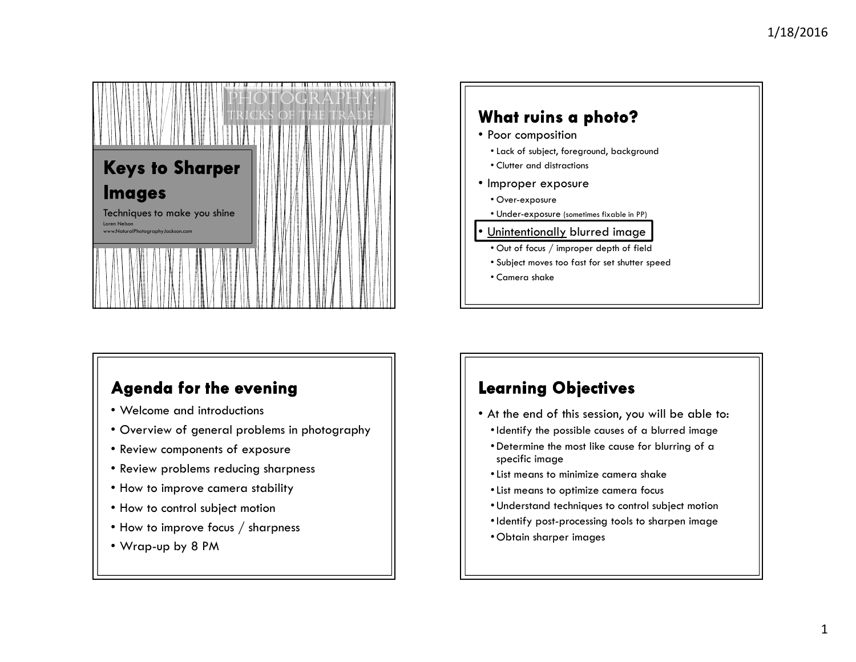



# **Agenda for the evening**

- Welcome and introductions
- Overview of general problems in photography
- Review components of exposure
- Review problems reducing sharpness
- How to improve camera stability
- How to control subject motion
- How to improve focus / sharpness
- Wrap-up by 8 PM

# **Learning Objectives**

- At the end of this session, you will be able to:
	- •Identify the possible causes of a blurred image
	- Determine the most like cause for blurring of a specific image
	- •List means to minimize camera shake
	- •List means to optimize camera focus
	- Understand techniques to control subject motion
- •Identify post-processing tools to sharpen image
- Obtain sharper images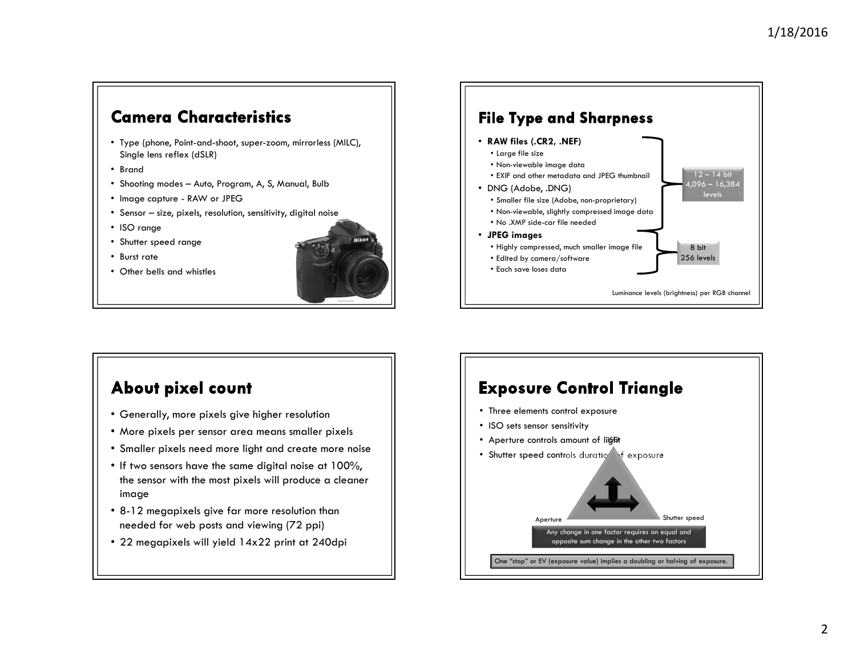## **Camera Characteristics**

- Type (phone, Point-and-shoot, super-zoom, mirrorless (MILC), Single lens reflex (dSLR)
- Brand
- Shooting modes Auto, Program, A, S, Manual, Bulb
- Image capture RAW or JPEG
- Sensor size, pixels, resolution, sensitivity, digital noise
- ISO range
- Shutter speed range
- Burst rate
- Other bells and whistles





### About pixel count

- Generally, more pixels give higher resolution
- More pixels per sensor area means smaller pixels
- Smaller pixels need more light and create more noise
- If two sensors have the same digital noise at 100%, the sensor with the most pixels will produce a cleaner image
- 8-12 megapixels give far more resolution than needed for web posts and viewing (72 ppi)
- 22 megapixels will yield 14x22 print at 240dpi

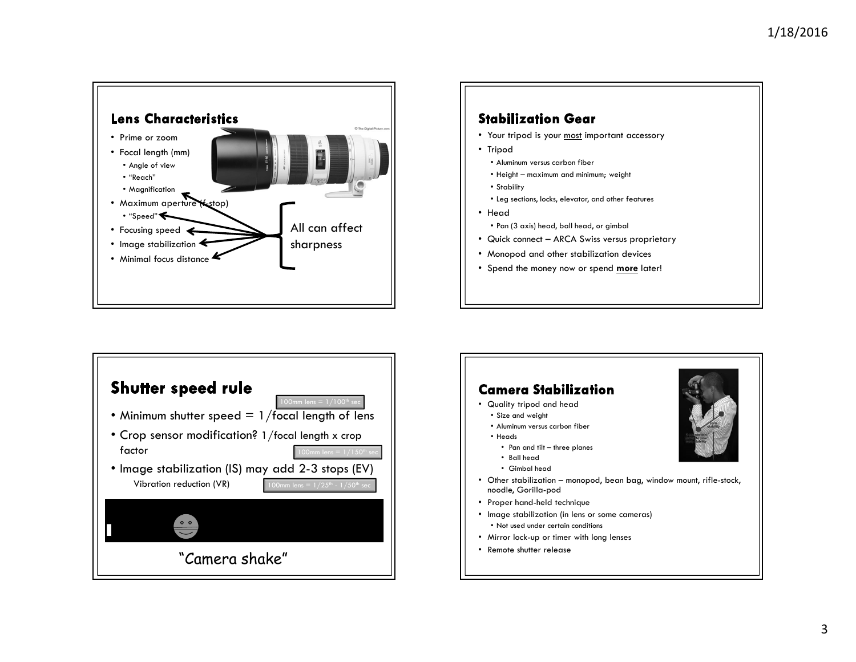



- Your tripod is your <u>most</u> important accessory<br>————————————————————
- Tripod
	- Aluminum versus carbon fiber
	- Height maximum and minimum; weight
	- Stability
	- Leg sections, locks, elevator, and other features
- Head
	- Pan (3 axis) head, ball head, or gimbal
- Quick connect ARCA Swiss versus proprietary
- Monopod and other stabilization devices
- Spend the money now or spend <mark>more</mark> later!



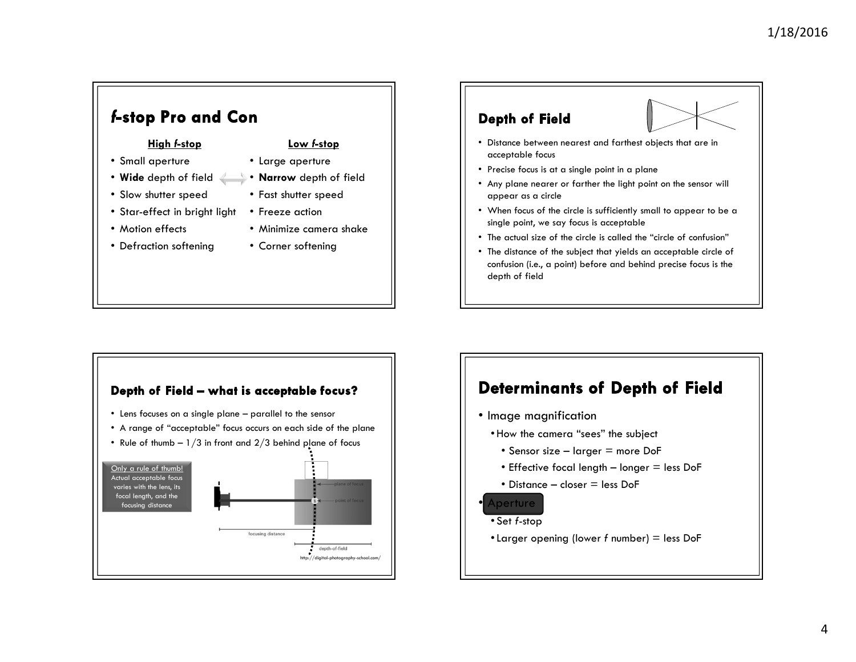#### f-stop Pro and Con **Depth of Field** High f-stopLow f-stop• Distance between nearest and farthest objects that are in acceptable focus• Small aperture• Large aperture• Precise focus is at a single point in a plane• Wide depth of field  $\longleftrightarrow$  • Narrow depth of field • Any plane nearer or farther the light point on the sensor will • Slow shutter speed• Fast shutter speedappear as a circle • Star-effect in bright light • Freeze action• When focus of the circle is sufficiently small to appear to be a single point, we say focus is acceptable• Motion effects • Minimize camera shake• The actual size of the circle is called the "circle of confusion"• Defraction softening • Corner softening• The distance of the subject that yields an acceptable circle of confusion (i.e., a point) before and behind precise focus is the depth of field



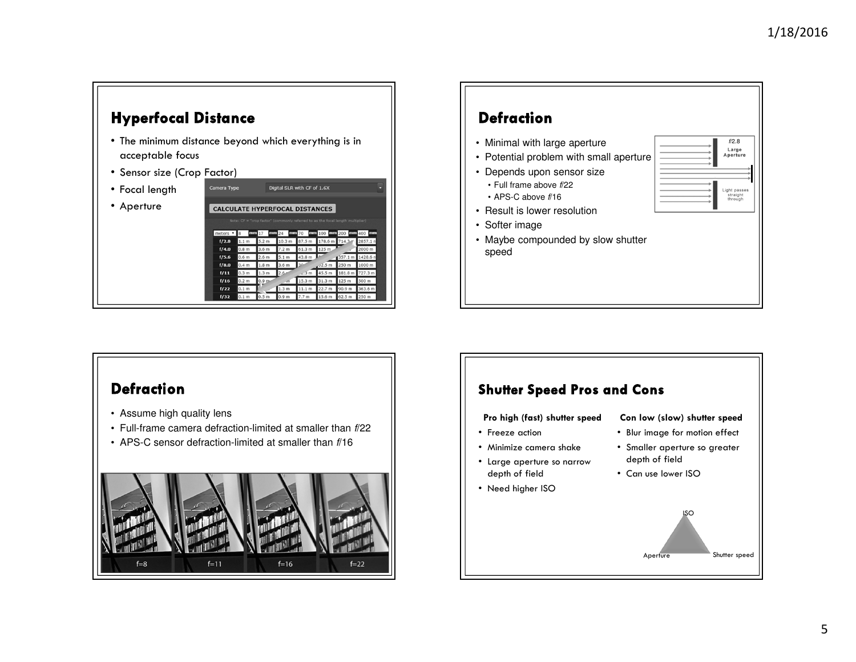f/2.8Large<br>Aperture

Light passes<br>straight<br>through



#### **Defraction**

- Assume high quality lens
- Full-frame camera defraction-limited at smaller than f/22
- APS-C sensor defraction-limited at smaller than f/16



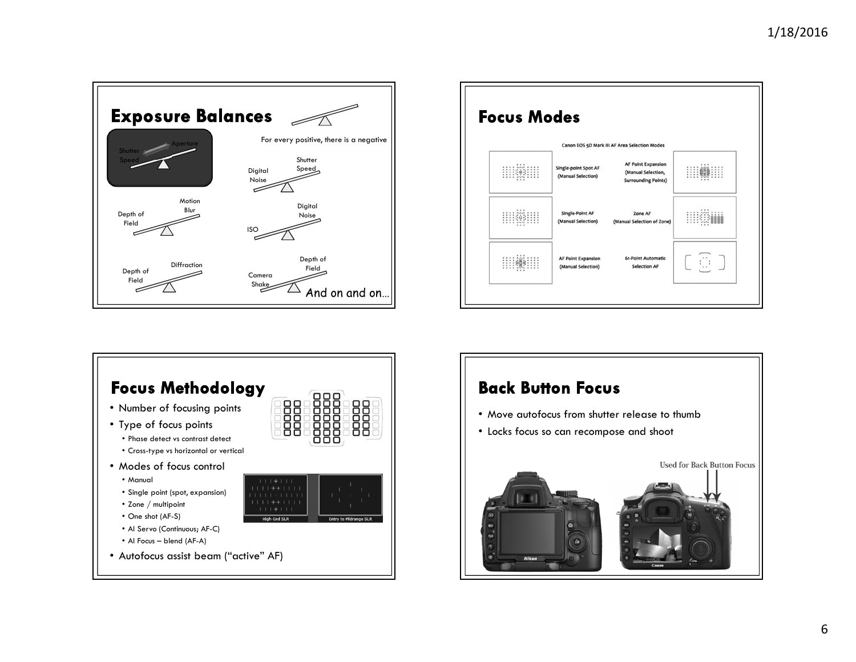





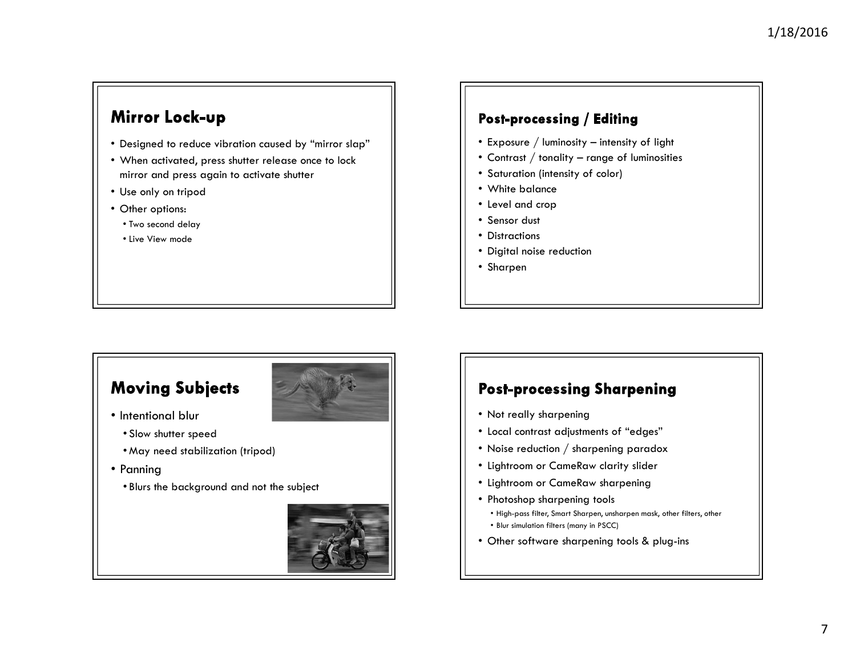# Mirror Lock-up

- Designed to reduce vibration caused by "mirror slap"
- When activated, press shutter release once to lock mirror and press again to activate shutter
- Use only on tripod
- Other options:
	- Two second delay
	- Live View mode

#### Post-processing / Editing

- Exposure / luminosity intensity of light
- Contrast / tonality range of luminosities
- Saturation (intensity of color)
- White balance
- Level and crop
- Sensor dust
- Distractions
- Digital noise reduction
- Sharpen

## **Moving Subjects**



- Intentional blur
	- Slow shutter speed
	- May need stabilization (tripod)
- Panning
	- Blurs the background and not the subject



## **Post-processing Sharpening**

- Not really sharpening
- Local contrast adjustments of "edges"
- Noise reduction  $\displaystyle{/}$  sharpening paradox
- Lightroom or CameRaw clarity slider
- Lightroom or CameRaw sharpening
- Photoshop sharpening tools
	- High-pass filter, Smart Sharpen, unsharpen mask, other filters, other
	- Blur simulation filters (many in PSCC)
- Other software sharpening tools & plug-ins